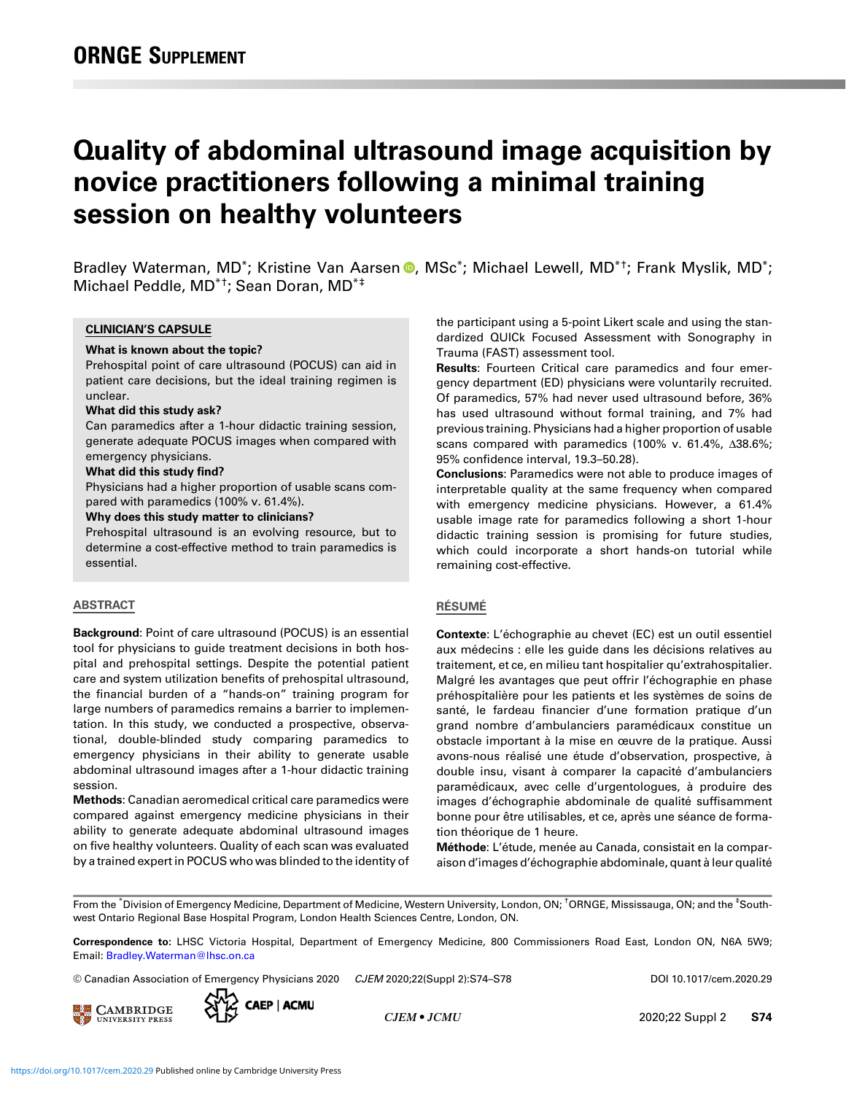# Quality of abdominal ultrasound image acquisition by novice practitioners following a minimal training session on healthy volunteers

Bradley Waterman, MD<sup>\*</sup>; Kristine Van Aarsen <sup>®</sup>, MSc<sup>\*</sup>; Michael Lewell, MD<sup>\*†</sup>; Frank Myslik, MD<sup>\*</sup>; Michael Peddle, MD\*†; Sean Doran, MD\*‡

## CLINICIAN'S CAPSULE

# What is known about the topic?

Prehospital point of care ultrasound (POCUS) can aid in patient care decisions, but the ideal training regimen is unclear.

#### What did this study ask?

Can paramedics after a 1-hour didactic training session, generate adequate POCUS images when compared with emergency physicians.

#### What did this study find?

Physicians had a higher proportion of usable scans compared with paramedics (100% v. 61.4%).

#### Why does this study matter to clinicians?

Prehospital ultrasound is an evolving resource, but to determine a cost-effective method to train paramedics is essential.

## ABSTRACT

Background: Point of care ultrasound (POCUS) is an essential tool for physicians to guide treatment decisions in both hospital and prehospital settings. Despite the potential patient care and system utilization benefits of prehospital ultrasound, the financial burden of a "hands-on" training program for large numbers of paramedics remains a barrier to implementation. In this study, we conducted a prospective, observational, double-blinded study comparing paramedics to emergency physicians in their ability to generate usable abdominal ultrasound images after a 1-hour didactic training session.

Methods: Canadian aeromedical critical care paramedics were compared against emergency medicine physicians in their ability to generate adequate abdominal ultrasound images on five healthy volunteers. Quality of each scan was evaluated by a trained expert in POCUS who was blinded to the identity of the participant using a 5-point Likert scale and using the standardized QUICk Focused Assessment with Sonography in Trauma (FAST) assessment tool.

Results: Fourteen Critical care paramedics and four emergency department (ED) physicians were voluntarily recruited. Of paramedics, 57% had never used ultrasound before, 36% has used ultrasound without formal training, and 7% had previous training. Physicians had a higher proportion of usable scans compared with paramedics (100% v. 61.4%, Δ38.6%; 95% confidence interval, 19.3–50.28).

Conclusions: Paramedics were not able to produce images of interpretable quality at the same frequency when compared with emergency medicine physicians. However, a 61.4% usable image rate for paramedics following a short 1-hour didactic training session is promising for future studies, which could incorporate a short hands-on tutorial while remaining cost-effective.

### RÉSUMÉ

Contexte: L'échographie au chevet (EC) est un outil essentiel aux médecins : elle les guide dans les décisions relatives au traitement, et ce, en milieu tant hospitalier qu'extrahospitalier. Malgré les avantages que peut offrir l'échographie en phase préhospitalière pour les patients et les systèmes de soins de santé, le fardeau financier d'une formation pratique d'un grand nombre d'ambulanciers paramédicaux constitue un obstacle important à la mise en œuvre de la pratique. Aussi avons-nous réalisé une étude d'observation, prospective, à double insu, visant à comparer la capacité d'ambulanciers paramédicaux, avec celle d'urgentologues, à produire des images d'échographie abdominale de qualité suffisamment bonne pour être utilisables, et ce, après une séance de formation théorique de 1 heure.

Méthode: L'étude, menée au Canada, consistait en la comparaison d'images d'échographie abdominale, quant à leur qualité

From the \*Division of Emergency Medicine, Department of Medicine, Western University, London, ON; †ORNGE, Mississauga, ON; and the <sup>‡</sup>Southwest Ontario Regional Base Hospital Program, London Health Sciences Centre, London, ON.

Correspondence to: LHSC Victoria Hospital, Department of Emergency Medicine, 800 Commissioners Road East, London ON, N6A 5W9; Email: [Bradley.Waterman@lhsc.on.ca](mailto:Bradley.Waterman@lhsc.on.ca)

© Canadian Association of Emergency Physicians 2020 CJEM 2020;22(Suppl 2):S74–S78 DOI 10.1017/cem.2020.29



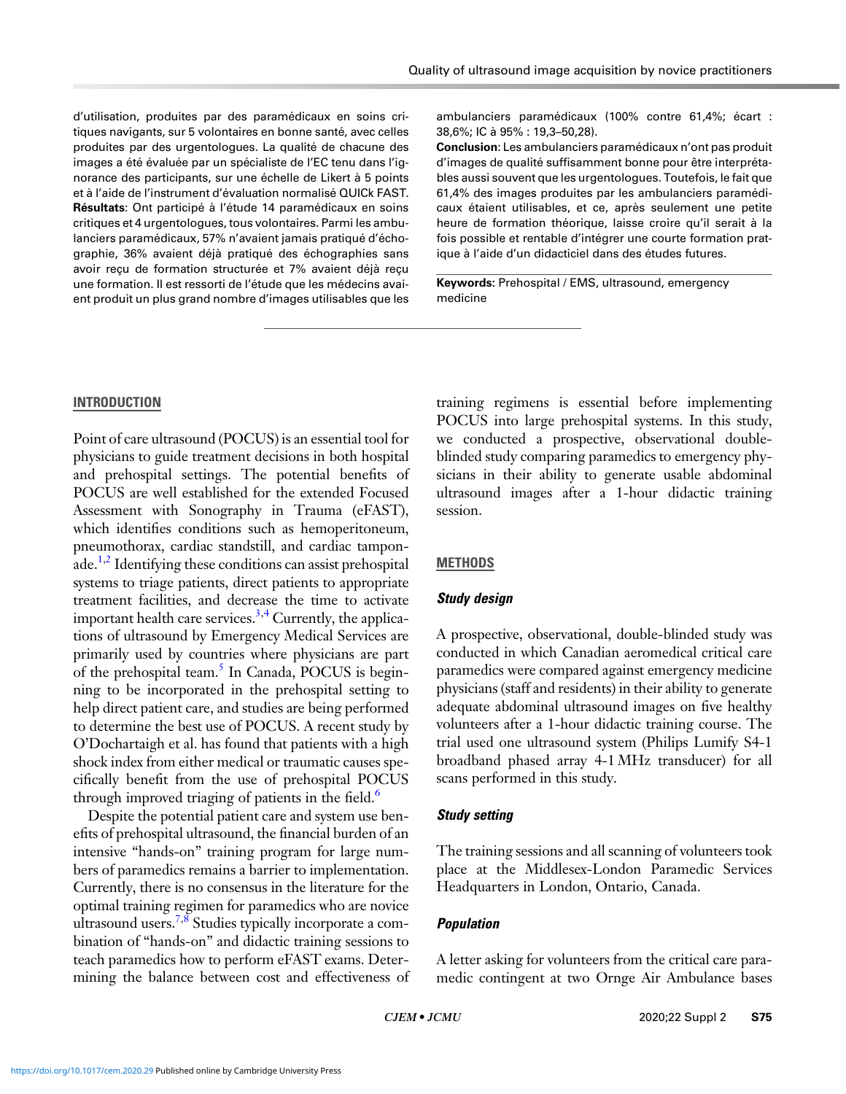d'utilisation, produites par des paramédicaux en soins critiques navigants, sur 5 volontaires en bonne santé, avec celles produites par des urgentologues. La qualité de chacune des images a été évaluée par un spécialiste de l'EC tenu dans l'ignorance des participants, sur une échelle de Likert à 5 points et à l'aide de l'instrument d'évaluation normalisé QUICk FAST. Résultats: Ont participé à l'étude 14 paramédicaux en soins critiques et 4 urgentologues, tous volontaires. Parmi les ambulanciers paramédicaux, 57% n'avaient jamais pratiqué d'échographie, 36% avaient déjà pratiqué des échographies sans avoir reçu de formation structurée et 7% avaient déjà reçu une formation. Il est ressorti de l'étude que les médecins avaient produit un plus grand nombre d'images utilisables que les ambulanciers paramédicaux (100% contre 61,4%; écart : 38,6%; IC à 95% : 19,3–50,28).

Conclusion: Les ambulanciers paramédicaux n'ont pas produit d'images de qualité suffisamment bonne pour être interprétables aussi souvent que les urgentologues. Toutefois, le fait que 61,4% des images produites par les ambulanciers paramédicaux étaient utilisables, et ce, après seulement une petite heure de formation théorique, laisse croire qu'il serait à la fois possible et rentable d'intégrer une courte formation pratique à l'aide d'un didacticiel dans des études futures.

Keywords: Prehospital / EMS, ultrasound, emergency medicine

## **INTRODUCTION**

Point of care ultrasound (POCUS) is an essential tool for physicians to guide treatment decisions in both hospital and prehospital settings. The potential benefits of POCUS are well established for the extended Focused Assessment with Sonography in Trauma (eFAST), which identifies conditions such as hemoperitoneum, pneumothorax, cardiac standstill, and cardiac tampon-ade.<sup>[1,2](#page-4-0)</sup> Identifying these conditions can assist prehospital systems to triage patients, direct patients to appropriate treatment facilities, and decrease the time to activate important health care services.<sup>[3,4](#page-4-0)</sup> Currently, the applications of ultrasound by Emergency Medical Services are primarily used by countries where physicians are part of the prehospital team.<sup>5</sup> In Canada, POCUS is beginning to be incorporated in the prehospital setting to help direct patient care, and studies are being performed to determine the best use of POCUS. A recent study by O'Dochartaigh et al. has found that patients with a high shock index from either medical or traumatic causes specifically benefit from the use of prehospital POCUS through improved triaging of patients in the field.<sup>6</sup>

Despite the potential patient care and system use benefits of prehospital ultrasound, the financial burden of an intensive "hands-on" training program for large numbers of paramedics remains a barrier to implementation. Currently, there is no consensus in the literature for the optimal training regimen for paramedics who are novice ultrasound users.<sup>[7,8](#page-4-0)</sup> Studies typically incorporate a combination of "hands-on" and didactic training sessions to teach paramedics how to perform eFAST exams. Determining the balance between cost and effectiveness of training regimens is essential before implementing POCUS into large prehospital systems. In this study, we conducted a prospective, observational doubleblinded study comparing paramedics to emergency physicians in their ability to generate usable abdominal ultrasound images after a 1-hour didactic training session.

# **METHODS**

# Study design

A prospective, observational, double-blinded study was conducted in which Canadian aeromedical critical care paramedics were compared against emergency medicine physicians (staff and residents) in their ability to generate adequate abdominal ultrasound images on five healthy volunteers after a 1-hour didactic training course. The trial used one ultrasound system (Philips Lumify S4-1 broadband phased array 4-1 MHz transducer) for all scans performed in this study.

## Study setting

The training sessions and all scanning of volunteers took place at the Middlesex-London Paramedic Services Headquarters in London, Ontario, Canada.

#### Population

A letter asking for volunteers from the critical care paramedic contingent at two Ornge Air Ambulance bases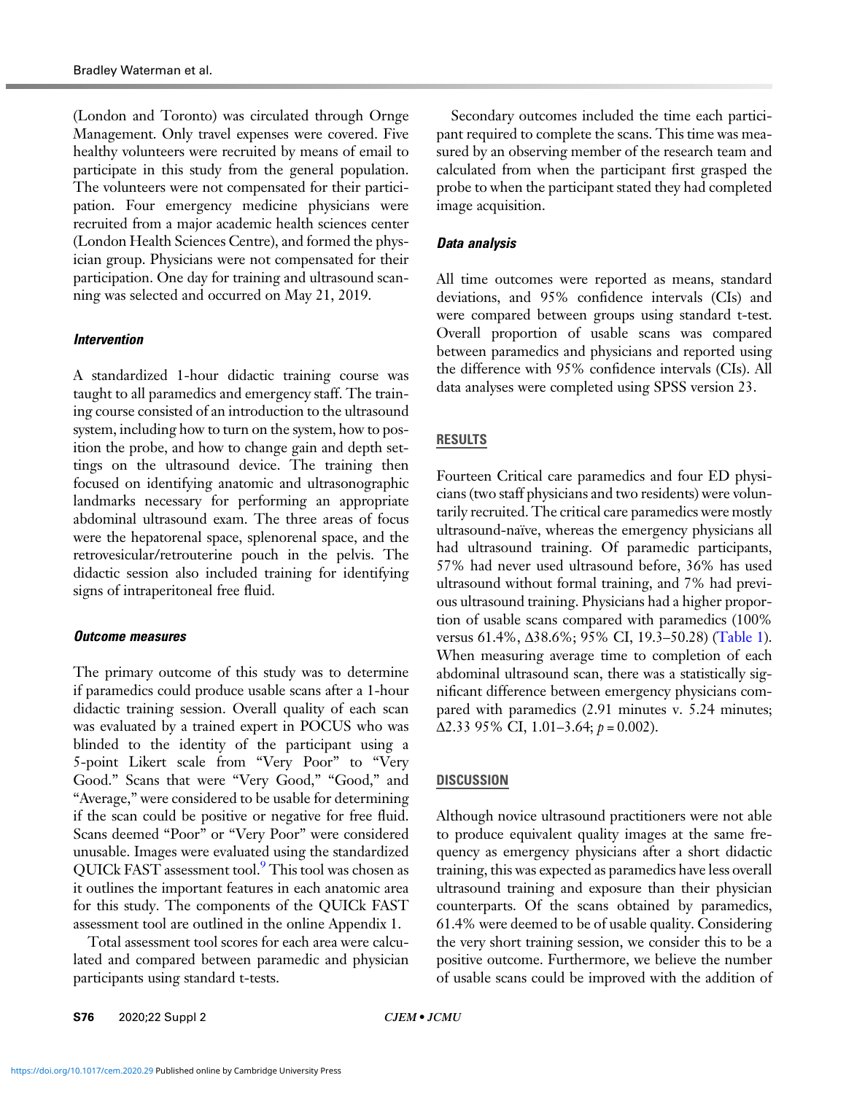(London and Toronto) was circulated through Ornge Management. Only travel expenses were covered. Five healthy volunteers were recruited by means of email to participate in this study from the general population. The volunteers were not compensated for their participation. Four emergency medicine physicians were recruited from a major academic health sciences center (London Health Sciences Centre), and formed the physician group. Physicians were not compensated for their participation. One day for training and ultrasound scanning was selected and occurred on May 21, 2019.

# Intervention

A standardized 1-hour didactic training course was taught to all paramedics and emergency staff. The training course consisted of an introduction to the ultrasound system, including how to turn on the system, how to position the probe, and how to change gain and depth settings on the ultrasound device. The training then focused on identifying anatomic and ultrasonographic landmarks necessary for performing an appropriate abdominal ultrasound exam. The three areas of focus were the hepatorenal space, splenorenal space, and the retrovesicular/retrouterine pouch in the pelvis. The didactic session also included training for identifying signs of intraperitoneal free fluid.

### Outcome measures

The primary outcome of this study was to determine if paramedics could produce usable scans after a 1-hour didactic training session. Overall quality of each scan was evaluated by a trained expert in POCUS who was blinded to the identity of the participant using a 5-point Likert scale from "Very Poor" to "Very Good." Scans that were "Very Good," "Good," and "Average," were considered to be usable for determining if the scan could be positive or negative for free fluid. Scans deemed "Poor" or "Very Poor" were considered unusable. Images were evaluated using the standardized QUICk FAST assessment tool.[9](#page-4-0) This tool was chosen as it outlines the important features in each anatomic area for this study. The components of the QUICk FAST assessment tool are outlined in the online Appendix 1.

Total assessment tool scores for each area were calculated and compared between paramedic and physician participants using standard t-tests.

Secondary outcomes included the time each participant required to complete the scans. This time was measured by an observing member of the research team and calculated from when the participant first grasped the probe to when the participant stated they had completed image acquisition.

# Data analysis

All time outcomes were reported as means, standard deviations, and 95% confidence intervals (CIs) and were compared between groups using standard t-test. Overall proportion of usable scans was compared between paramedics and physicians and reported using the difference with 95% confidence intervals (CIs). All data analyses were completed using SPSS version 23.

# RESULTS

Fourteen Critical care paramedics and four ED physicians (two staff physicians and two residents) were voluntarily recruited. The critical care paramedics were mostly ultrasound-naïve, whereas the emergency physicians all had ultrasound training. Of paramedic participants, 57% had never used ultrasound before, 36% has used ultrasound without formal training, and 7% had previous ultrasound training. Physicians had a higher proportion of usable scans compared with paramedics (100% versus 61.4%, Δ38.6%; 95% CI, 19.3–50.28) [\(Table 1](#page-3-0)). When measuring average time to completion of each abdominal ultrasound scan, there was a statistically significant difference between emergency physicians compared with paramedics (2.91 minutes v. 5.24 minutes;  $\Delta$ 2.33 95% CI, 1.01–3.64;  $p = 0.002$ ).

# **DISCUSSION**

Although novice ultrasound practitioners were not able to produce equivalent quality images at the same frequency as emergency physicians after a short didactic training, this was expected as paramedics have less overall ultrasound training and exposure than their physician counterparts. Of the scans obtained by paramedics, 61.4% were deemed to be of usable quality. Considering the very short training session, we consider this to be a positive outcome. Furthermore, we believe the number of usable scans could be improved with the addition of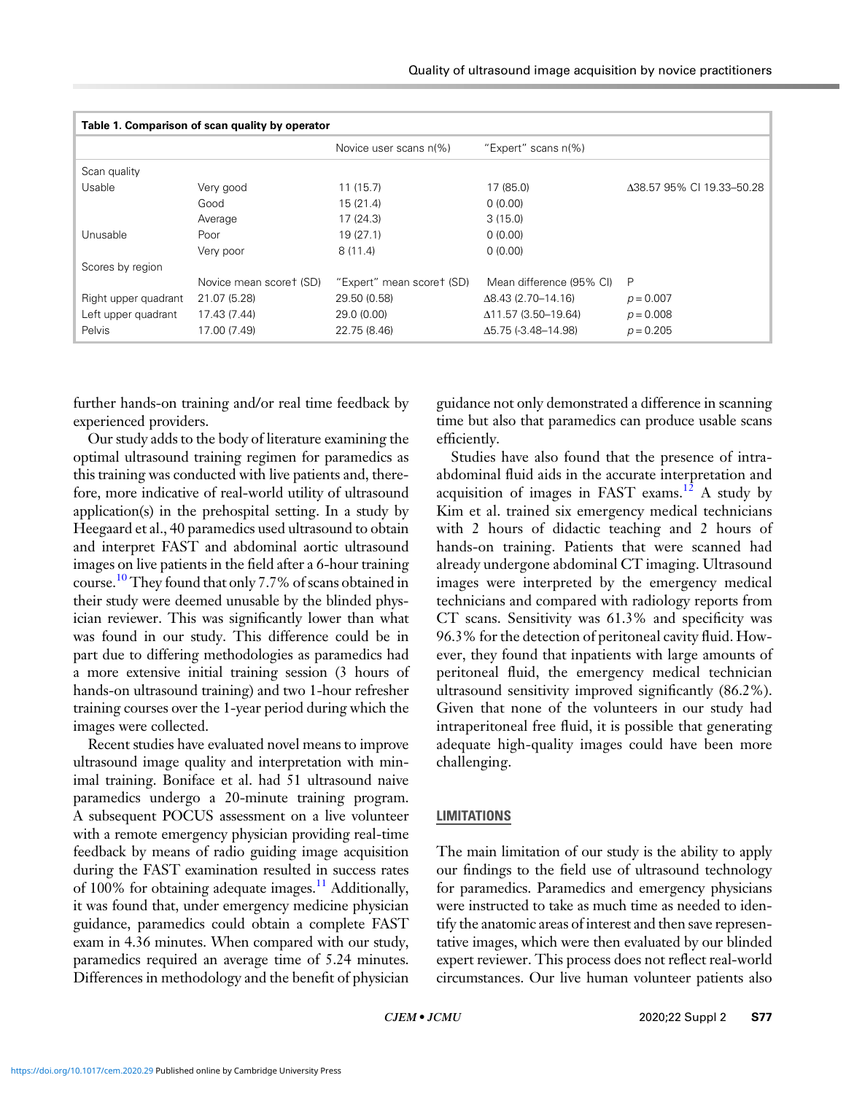<span id="page-3-0"></span>

| Table 1. Comparison of scan quality by operator |                         |                           |                             |                           |
|-------------------------------------------------|-------------------------|---------------------------|-----------------------------|---------------------------|
|                                                 |                         | Novice user scans n(%)    | "Expert" scans n(%)         |                           |
| Scan quality                                    |                         |                           |                             |                           |
| Usable                                          | Very good               | 11(15.7)                  | 17 (85.0)                   | Δ38.57 95% CI 19.33-50.28 |
|                                                 | Good                    | 15(21.4)                  | 0(0.00)                     |                           |
|                                                 | Average                 | 17(24.3)                  | 3(15.0)                     |                           |
| Unusable                                        | Poor                    | 19(27.1)                  | 0(0.00)                     |                           |
|                                                 | Very poor               | 8(11.4)                   | 0(0.00)                     |                           |
| Scores by region                                |                         |                           |                             |                           |
|                                                 | Novice mean scoret (SD) | "Expert" mean scoret (SD) | Mean difference (95% CI)    | P                         |
| Right upper quadrant                            | 21.07 (5.28)            | 29.50 (0.58)              | $\Delta$ 8.43 (2.70–14.16)  | $p = 0.007$               |
| Left upper quadrant                             | 17.43 (7.44)            | 29.0 (0.00)               | $\Delta$ 11.57 (3.50–19.64) | $p = 0.008$               |
| Pelvis                                          | 17.00 (7.49)            | 22.75 (8.46)              | $\Delta$ 5.75 (-3.48–14.98) | $p = 0.205$               |

further hands-on training and/or real time feedback by experienced providers.

Our study adds to the body of literature examining the optimal ultrasound training regimen for paramedics as this training was conducted with live patients and, therefore, more indicative of real-world utility of ultrasound application(s) in the prehospital setting. In a study by Heegaard et al., 40 paramedics used ultrasound to obtain and interpret FAST and abdominal aortic ultrasound images on live patients in the field after a 6-hour training course.<sup>10</sup> They found that only 7.7% of scans obtained in their study were deemed unusable by the blinded physician reviewer. This was significantly lower than what was found in our study. This difference could be in part due to differing methodologies as paramedics had a more extensive initial training session (3 hours of hands-on ultrasound training) and two 1-hour refresher training courses over the 1-year period during which the images were collected.

Recent studies have evaluated novel means to improve ultrasound image quality and interpretation with minimal training. Boniface et al. had 51 ultrasound naive paramedics undergo a 20-minute training program. A subsequent POCUS assessment on a live volunteer with a remote emergency physician providing real-time feedback by means of radio guiding image acquisition during the FAST examination resulted in success rates of 100% for obtaining adequate images.<sup>[11](#page-4-0)</sup> Additionally, it was found that, under emergency medicine physician guidance, paramedics could obtain a complete FAST exam in 4.36 minutes. When compared with our study, paramedics required an average time of 5.24 minutes. Differences in methodology and the benefit of physician

guidance not only demonstrated a difference in scanning time but also that paramedics can produce usable scans efficiently.

Studies have also found that the presence of intraabdominal fluid aids in the accurate interpretation and acquisition of images in FAST exams.<sup>[12](#page-4-0)</sup> A study by Kim et al. trained six emergency medical technicians with 2 hours of didactic teaching and 2 hours of hands-on training. Patients that were scanned had already undergone abdominal CT imaging. Ultrasound images were interpreted by the emergency medical technicians and compared with radiology reports from CT scans. Sensitivity was 61.3% and specificity was 96.3% for the detection of peritoneal cavity fluid. However, they found that inpatients with large amounts of peritoneal fluid, the emergency medical technician ultrasound sensitivity improved significantly (86.2%). Given that none of the volunteers in our study had intraperitoneal free fluid, it is possible that generating adequate high-quality images could have been more challenging.

### LIMITATIONS

The main limitation of our study is the ability to apply our findings to the field use of ultrasound technology for paramedics. Paramedics and emergency physicians were instructed to take as much time as needed to identify the anatomic areas of interest and then save representative images, which were then evaluated by our blinded expert reviewer. This process does not reflect real-world circumstances. Our live human volunteer patients also